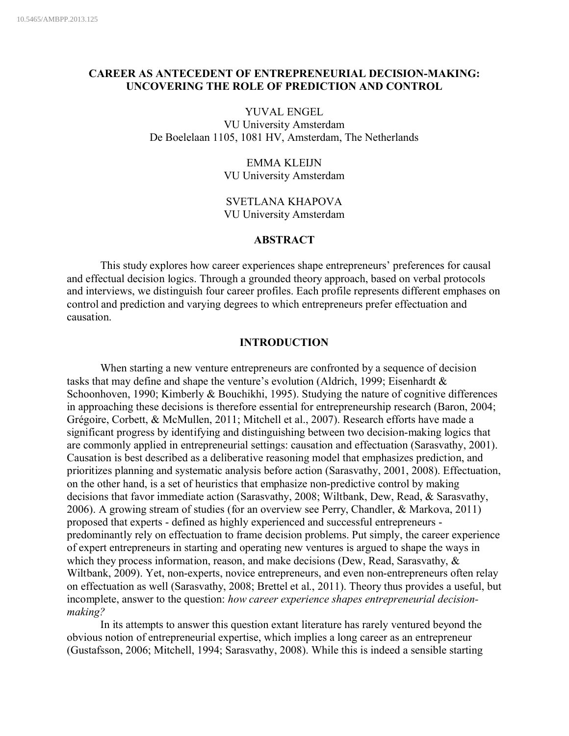# **CAREER AS ANTECEDENT OF ENTREPRENEURIAL DECISION-MAKING: UNCOVERING THE ROLE OF PREDICTION AND CONTROL**

YUVAL ENGEL VU University Amsterdam De Boelelaan 1105, 1081 HV, Amsterdam, The Netherlands

> EMMA KLEIJN VU University Amsterdam

SVETLANA KHAPOVA VU University Amsterdam

### **ABSTRACT**

This study explores how career experiences shape entrepreneurs' preferences for causal and effectual decision logics. Through a grounded theory approach, based on verbal protocols and interviews, we distinguish four career profiles. Each profile represents different emphases on control and prediction and varying degrees to which entrepreneurs prefer effectuation and causation.

## **INTRODUCTION**

When starting a new venture entrepreneurs are confronted by a sequence of decision tasks that may define and shape the venture's evolution (Aldrich, 1999; Eisenhardt & Schoonhoven, 1990; Kimberly & Bouchikhi, 1995). Studying the nature of cognitive differences in approaching these decisions is therefore essential for entrepreneurship research (Baron, 2004; Grégoire, Corbett, & McMullen, 2011; Mitchell et al., 2007). Research efforts have made a significant progress by identifying and distinguishing between two decision-making logics that are commonly applied in entrepreneurial settings: causation and effectuation (Sarasvathy, 2001). Causation is best described as a deliberative reasoning model that emphasizes prediction, and prioritizes planning and systematic analysis before action (Sarasvathy, 2001, 2008). Effectuation, on the other hand, is a set of heuristics that emphasize non-predictive control by making decisions that favor immediate action (Sarasvathy, 2008; Wiltbank, Dew, Read, & Sarasvathy, 2006). A growing stream of studies (for an overview see Perry, Chandler, & Markova, 2011) proposed that experts - defined as highly experienced and successful entrepreneurs predominantly rely on effectuation to frame decision problems. Put simply, the career experience of expert entrepreneurs in starting and operating new ventures is argued to shape the ways in which they process information, reason, and make decisions (Dew, Read, Sarasvathy, & Wiltbank, 2009). Yet, non-experts, novice entrepreneurs, and even non-entrepreneurs often relay on effectuation as well (Sarasvathy, 2008; Brettel et al., 2011). Theory thus provides a useful, but incomplete, answer to the question: *how career experience shapes entrepreneurial decisionmaking?* 

In its attempts to answer this question extant literature has rarely ventured beyond the obvious notion of entrepreneurial expertise, which implies a long career as an entrepreneur (Gustafsson, 2006; Mitchell, 1994; Sarasvathy, 2008). While this is indeed a sensible starting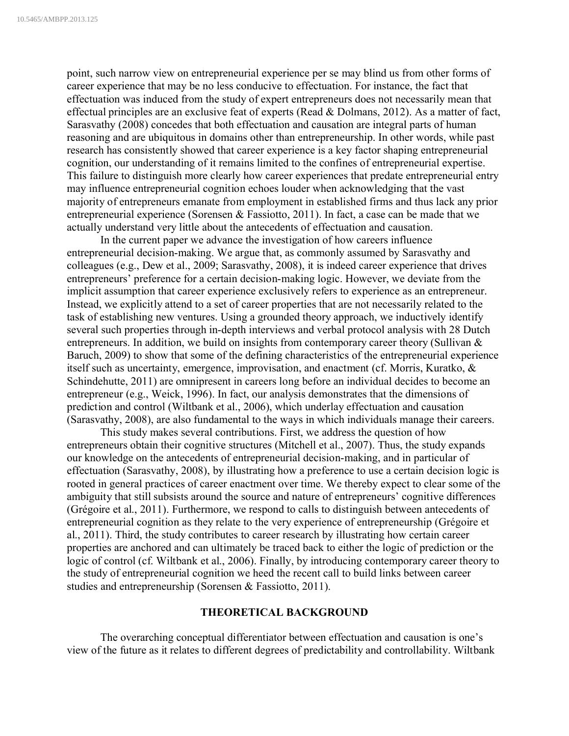point, such narrow view on entrepreneurial experience per se may blind us from other forms of career experience that may be no less conducive to effectuation. For instance, the fact that effectuation was induced from the study of expert entrepreneurs does not necessarily mean that effectual principles are an exclusive feat of experts (Read & Dolmans, 2012). As a matter of fact, Sarasvathy (2008) concedes that both effectuation and causation are integral parts of human reasoning and are ubiquitous in domains other than entrepreneurship. In other words, while past research has consistently showed that career experience is a key factor shaping entrepreneurial cognition, our understanding of it remains limited to the confines of entrepreneurial expertise. This failure to distinguish more clearly how career experiences that predate entrepreneurial entry may influence entrepreneurial cognition echoes louder when acknowledging that the vast majority of entrepreneurs emanate from employment in established firms and thus lack any prior entrepreneurial experience (Sorensen & Fassiotto, 2011). In fact, a case can be made that we actually understand very little about the antecedents of effectuation and causation.

In the current paper we advance the investigation of how careers influence entrepreneurial decision-making. We argue that, as commonly assumed by Sarasvathy and colleagues (e.g., Dew et al., 2009; Sarasvathy, 2008), it is indeed career experience that drives entrepreneurs' preference for a certain decision-making logic. However, we deviate from the implicit assumption that career experience exclusively refers to experience as an entrepreneur. Instead, we explicitly attend to a set of career properties that are not necessarily related to the task of establishing new ventures. Using a grounded theory approach, we inductively identify several such properties through in-depth interviews and verbal protocol analysis with 28 Dutch entrepreneurs. In addition, we build on insights from contemporary career theory (Sullivan & Baruch, 2009) to show that some of the defining characteristics of the entrepreneurial experience itself such as uncertainty, emergence, improvisation, and enactment (cf. Morris, Kuratko, & Schindehutte, 2011) are omnipresent in careers long before an individual decides to become an entrepreneur (e.g., Weick, 1996). In fact, our analysis demonstrates that the dimensions of prediction and control (Wiltbank et al., 2006), which underlay effectuation and causation (Sarasvathy, 2008), are also fundamental to the ways in which individuals manage their careers.

This study makes several contributions. First, we address the question of how entrepreneurs obtain their cognitive structures (Mitchell et al., 2007). Thus, the study expands our knowledge on the antecedents of entrepreneurial decision-making, and in particular of effectuation (Sarasvathy, 2008), by illustrating how a preference to use a certain decision logic is rooted in general practices of career enactment over time. We thereby expect to clear some of the ambiguity that still subsists around the source and nature of entrepreneurs' cognitive differences (Grégoire et al., 2011). Furthermore, we respond to calls to distinguish between antecedents of entrepreneurial cognition as they relate to the very experience of entrepreneurship (Grégoire et al., 2011). Third, the study contributes to career research by illustrating how certain career properties are anchored and can ultimately be traced back to either the logic of prediction or the logic of control (cf. Wiltbank et al., 2006). Finally, by introducing contemporary career theory to the study of entrepreneurial cognition we heed the recent call to build links between career studies and entrepreneurship (Sorensen & Fassiotto, 2011).

### **THEORETICAL BACKGROUND**

The overarching conceptual differentiator between effectuation and causation is one's view of the future as it relates to different degrees of predictability and controllability. Wiltbank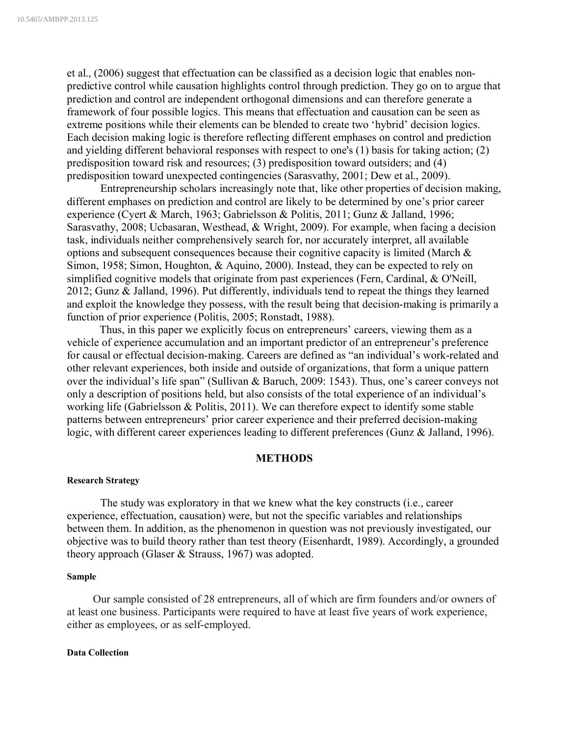et al., (2006) suggest that effectuation can be classified as a decision logic that enables nonpredictive control while causation highlights control through prediction. They go on to argue that prediction and control are independent orthogonal dimensions and can therefore generate a framework of four possible logics. This means that effectuation and causation can be seen as extreme positions while their elements can be blended to create two 'hybrid' decision logics. Each decision making logic is therefore reflecting different emphases on control and prediction and yielding different behavioral responses with respect to one's (1) basis for taking action; (2) predisposition toward risk and resources; (3) predisposition toward outsiders; and (4) predisposition toward unexpected contingencies (Sarasvathy, 2001; Dew et al., 2009).

Entrepreneurship scholars increasingly note that, like other properties of decision making, different emphases on prediction and control are likely to be determined by one's prior career experience (Cyert & March, 1963; Gabrielsson & Politis, 2011; Gunz & Jalland, 1996; Sarasvathy, 2008; Ucbasaran, Westhead, & Wright, 2009). For example, when facing a decision task, individuals neither comprehensively search for, nor accurately interpret, all available options and subsequent consequences because their cognitive capacity is limited (March & Simon, 1958; Simon, Houghton, & Aquino, 2000). Instead, they can be expected to rely on simplified cognitive models that originate from past experiences (Fern, Cardinal, & O'Neill, 2012; Gunz & Jalland, 1996). Put differently, individuals tend to repeat the things they learned and exploit the knowledge they possess, with the result being that decision-making is primarily a function of prior experience (Politis, 2005; Ronstadt, 1988).

Thus, in this paper we explicitly focus on entrepreneurs' careers, viewing them as a vehicle of experience accumulation and an important predictor of an entrepreneur's preference for causal or effectual decision-making. Careers are defined as "an individual's work-related and other relevant experiences, both inside and outside of organizations, that form a unique pattern over the individual's life span" (Sullivan & Baruch, 2009: 1543). Thus, one's career conveys not only a description of positions held, but also consists of the total experience of an individual's working life (Gabrielsson & Politis, 2011). We can therefore expect to identify some stable patterns between entrepreneurs' prior career experience and their preferred decision-making logic, with different career experiences leading to different preferences (Gunz & Jalland, 1996).

### **METHODS**

### **Research Strategy**

The study was exploratory in that we knew what the key constructs (i.e., career experience, effectuation, causation) were, but not the specific variables and relationships between them. In addition, as the phenomenon in question was not previously investigated, our objective was to build theory rather than test theory (Eisenhardt, 1989). Accordingly, a grounded theory approach (Glaser & Strauss, 1967) was adopted.

#### **Sample**

Our sample consisted of 28 entrepreneurs, all of which are firm founders and/or owners of at least one business. Participants were required to have at least five years of work experience, either as employees, or as self-employed.

#### **Data Collection**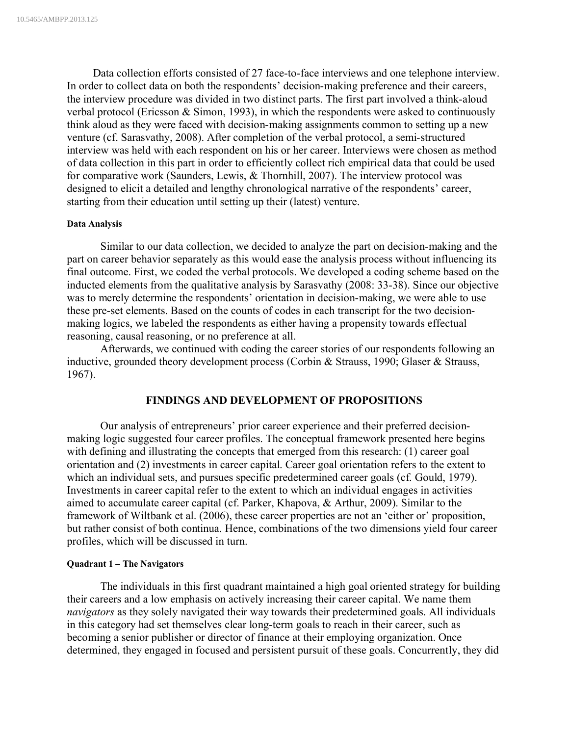Data collection efforts consisted of 27 face-to-face interviews and one telephone interview. In order to collect data on both the respondents' decision-making preference and their careers, the interview procedure was divided in two distinct parts. The first part involved a think-aloud verbal protocol (Ericsson & Simon, 1993), in which the respondents were asked to continuously think aloud as they were faced with decision-making assignments common to setting up a new venture (cf. Sarasvathy, 2008). After completion of the verbal protocol, a semi-structured interview was held with each respondent on his or her career. Interviews were chosen as method of data collection in this part in order to efficiently collect rich empirical data that could be used for comparative work (Saunders, Lewis, & Thornhill, 2007). The interview protocol was designed to elicit a detailed and lengthy chronological narrative of the respondents' career, starting from their education until setting up their (latest) venture.

#### **Data Analysis**

Similar to our data collection, we decided to analyze the part on decision-making and the part on career behavior separately as this would ease the analysis process without influencing its final outcome. First, we coded the verbal protocols. We developed a coding scheme based on the inducted elements from the qualitative analysis by Sarasvathy (2008: 33-38). Since our objective was to merely determine the respondents' orientation in decision-making, we were able to use these pre-set elements. Based on the counts of codes in each transcript for the two decisionmaking logics, we labeled the respondents as either having a propensity towards effectual reasoning, causal reasoning, or no preference at all.

Afterwards, we continued with coding the career stories of our respondents following an inductive, grounded theory development process (Corbin & Strauss, 1990; Glaser & Strauss, 1967).

### **FINDINGS AND DEVELOPMENT OF PROPOSITIONS**

Our analysis of entrepreneurs' prior career experience and their preferred decisionmaking logic suggested four career profiles. The conceptual framework presented here begins with defining and illustrating the concepts that emerged from this research: (1) career goal orientation and (2) investments in career capital. Career goal orientation refers to the extent to which an individual sets, and pursues specific predetermined career goals (cf. Gould, 1979). Investments in career capital refer to the extent to which an individual engages in activities aimed to accumulate career capital (cf. Parker, Khapova, & Arthur, 2009). Similar to the framework of Wiltbank et al. (2006), these career properties are not an 'either or' proposition, but rather consist of both continua. Hence, combinations of the two dimensions yield four career profiles, which will be discussed in turn.

#### **Quadrant 1 – The Navigators**

The individuals in this first quadrant maintained a high goal oriented strategy for building their careers and a low emphasis on actively increasing their career capital. We name them *navigators* as they solely navigated their way towards their predetermined goals. All individuals in this category had set themselves clear long-term goals to reach in their career, such as becoming a senior publisher or director of finance at their employing organization. Once determined, they engaged in focused and persistent pursuit of these goals. Concurrently, they did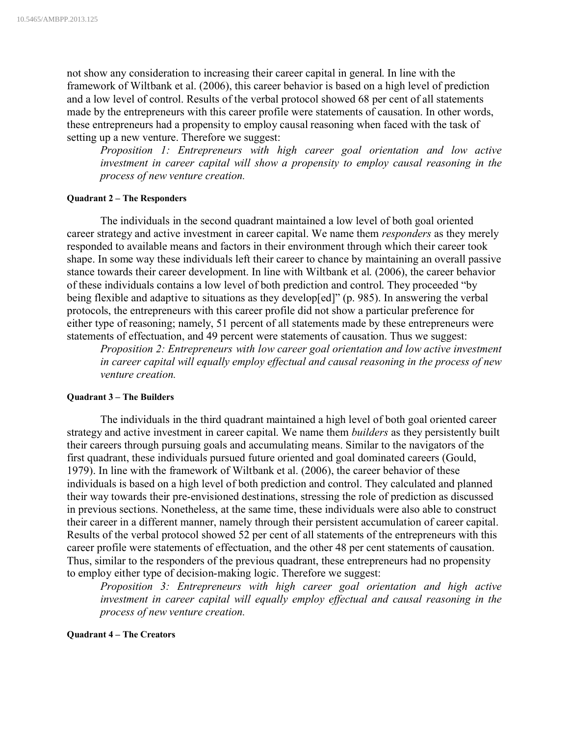not show any consideration to increasing their career capital in general. In line with the framework of Wiltbank et al. (2006), this career behavior is based on a high level of prediction and a low level of control. Results of the verbal protocol showed 68 per cent of all statements made by the entrepreneurs with this career profile were statements of causation. In other words, these entrepreneurs had a propensity to employ causal reasoning when faced with the task of setting up a new venture. Therefore we suggest:

*Proposition 1: Entrepreneurs with high career goal orientation and low active investment in career capital will show a propensity to employ causal reasoning in the process of new venture creation.*

### **Quadrant 2 – The Responders**

The individuals in the second quadrant maintained a low level of both goal oriented career strategy and active investment in career capital. We name them *responders* as they merely responded to available means and factors in their environment through which their career took shape. In some way these individuals left their career to chance by maintaining an overall passive stance towards their career development. In line with Wiltbank et al. (2006), the career behavior of these individuals contains a low level of both prediction and control. They proceeded "by being flexible and adaptive to situations as they develop[ed]" (p. 985). In answering the verbal protocols, the entrepreneurs with this career profile did not show a particular preference for either type of reasoning; namely, 51 percent of all statements made by these entrepreneurs were statements of effectuation, and 49 percent were statements of causation. Thus we suggest:

*Proposition 2: Entrepreneurs with low career goal orientation and low active investment in career capital will equally employ effectual and causal reasoning in the process of new venture creation.*

### **Quadrant 3 – The Builders**

The individuals in the third quadrant maintained a high level of both goal oriented career strategy and active investment in career capital. We name them *builders* as they persistently built their careers through pursuing goals and accumulating means. Similar to the navigators of the first quadrant, these individuals pursued future oriented and goal dominated careers (Gould, 1979). In line with the framework of Wiltbank et al. (2006), the career behavior of these individuals is based on a high level of both prediction and control. They calculated and planned their way towards their pre-envisioned destinations, stressing the role of prediction as discussed in previous sections. Nonetheless, at the same time, these individuals were also able to construct their career in a different manner, namely through their persistent accumulation of career capital. Results of the verbal protocol showed 52 per cent of all statements of the entrepreneurs with this career profile were statements of effectuation, and the other 48 per cent statements of causation. Thus, similar to the responders of the previous quadrant, these entrepreneurs had no propensity to employ either type of decision-making logic. Therefore we suggest:

*Proposition 3: Entrepreneurs with high career goal orientation and high active investment in career capital will equally employ effectual and causal reasoning in the process of new venture creation.*

#### **Quadrant 4 – The Creators**